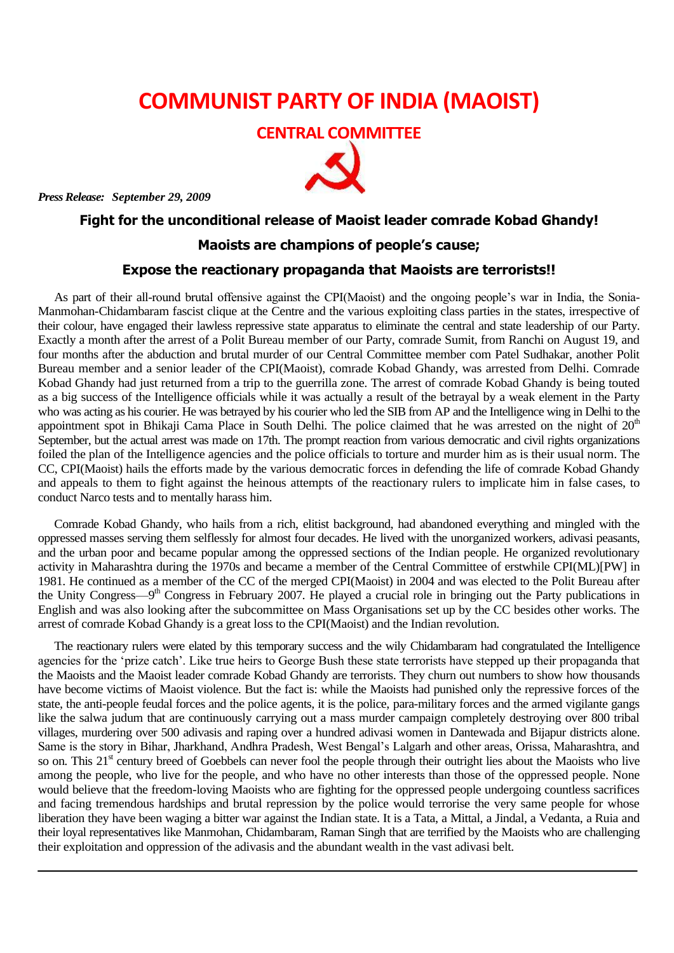## **COMMUNIST PARTY OF INDIA (MAOIST)**

**CENTRAL COMMITTEE**



*Press Release: September 29, 2009*

## **Fight for the unconditional release of Maoist leader comrade Kobad Ghandy!**

## **Maoists are champions of people's cause;**

## **Expose the reactionary propaganda that Maoists are terrorists!!**

As part of their all-round brutal offensive against the CPI(Maoist) and the ongoing people's war in India, the Sonia-Manmohan-Chidambaram fascist clique at the Centre and the various exploiting class parties in the states, irrespective of their colour, have engaged their lawless repressive state apparatus to eliminate the central and state leadership of our Party. Exactly a month after the arrest of a Polit Bureau member of our Party, comrade Sumit, from Ranchi on August 19, and four months after the abduction and brutal murder of our Central Committee member com Patel Sudhakar, another Polit Bureau member and a senior leader of the CPI(Maoist), comrade Kobad Ghandy, was arrested from Delhi. Comrade Kobad Ghandy had just returned from a trip to the guerrilla zone. The arrest of comrade Kobad Ghandy is being touted as a big success of the Intelligence officials while it was actually a result of the betrayal by a weak element in the Party who was acting as his courier. He was betrayed by his courier who led the SIB from AP and the Intelligence wing in Delhi to the appointment spot in Bhikaji Cama Place in South Delhi. The police claimed that he was arrested on the night of  $20<sup>th</sup>$ September, but the actual arrest was made on 17th. The prompt reaction from various democratic and civil rights organizations foiled the plan of the Intelligence agencies and the police officials to torture and murder him as is their usual norm. The CC, CPI(Maoist) hails the efforts made by the various democratic forces in defending the life of comrade Kobad Ghandy and appeals to them to fight against the heinous attempts of the reactionary rulers to implicate him in false cases, to conduct Narco tests and to mentally harass him.

Comrade Kobad Ghandy, who hails from a rich, elitist background, had abandoned everything and mingled with the oppressed masses serving them selflessly for almost four decades. He lived with the unorganized workers, adivasi peasants, and the urban poor and became popular among the oppressed sections of the Indian people. He organized revolutionary activity in Maharashtra during the 1970s and became a member of the Central Committee of erstwhile CPI(ML)[PW] in 1981. He continued as a member of the CC of the merged CPI(Maoist) in 2004 and was elected to the Polit Bureau after the Unity Congress—9<sup>th</sup> Congress in February 2007. He played a crucial role in bringing out the Party publications in English and was also looking after the subcommittee on Mass Organisations set up by the CC besides other works. The arrest of comrade Kobad Ghandy is a great loss to the CPI(Maoist) and the Indian revolution.

The reactionary rulers were elated by this temporary success and the wily Chidambaram had congratulated the Intelligence agencies for the 'prize catch'. Like true heirs to George Bush these state terrorists have stepped up their propaganda that the Maoists and the Maoist leader comrade Kobad Ghandy are terrorists. They churn out numbers to show how thousands have become victims of Maoist violence. But the fact is: while the Maoists had punished only the repressive forces of the state, the anti-people feudal forces and the police agents, it is the police, para-military forces and the armed vigilante gangs like the salwa judum that are continuously carrying out a mass murder campaign completely destroying over 800 tribal villages, murdering over 500 adivasis and raping over a hundred adivasi women in Dantewada and Bijapur districts alone. Same is the story in Bihar, Jharkhand, Andhra Pradesh, West Bengal's Lalgarh and other areas, Orissa, Maharashtra, and so on. This  $21<sup>st</sup>$  century breed of Goebbels can never fool the people through their outright lies about the Maoists who live among the people, who live for the people, and who have no other interests than those of the oppressed people. None would believe that the freedom-loving Maoists who are fighting for the oppressed people undergoing countless sacrifices and facing tremendous hardships and brutal repression by the police would terrorise the very same people for whose liberation they have been waging a bitter war against the Indian state. It is a Tata, a Mittal, a Jindal, a Vedanta, a Ruia and their loyal representatives like Manmohan, Chidambaram, Raman Singh that are terrified by the Maoists who are challenging their exploitation and oppression of the adivasis and the abundant wealth in the vast adivasi belt.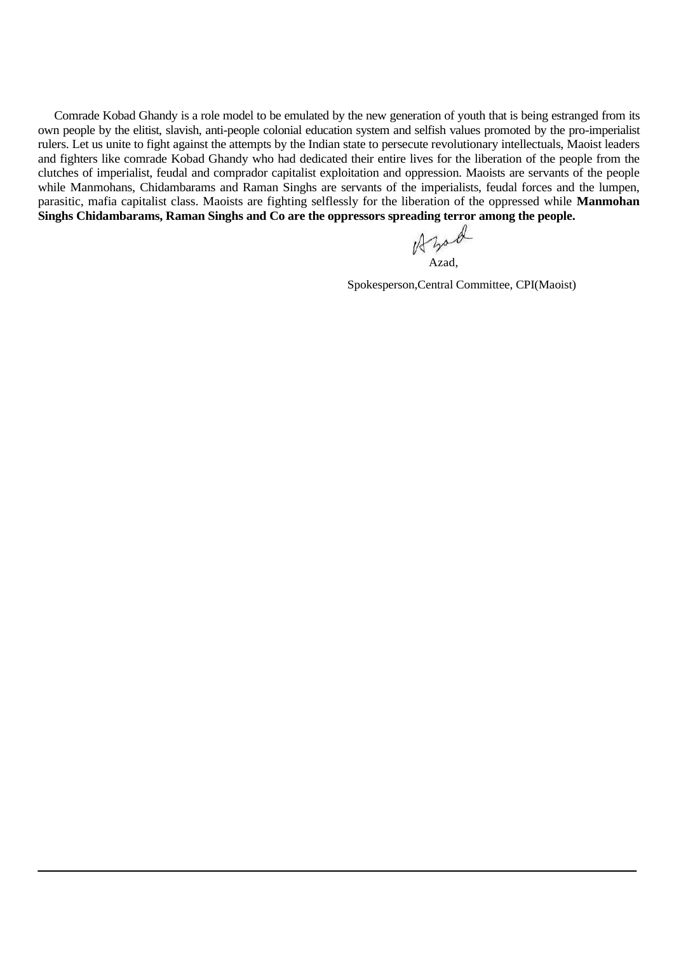Comrade Kobad Ghandy is a role model to be emulated by the new generation of youth that is being estranged from its own people by the elitist, slavish, anti-people colonial education system and selfish values promoted by the pro-imperialist rulers. Let us unite to fight against the attempts by the Indian state to persecute revolutionary intellectuals, Maoist leaders and fighters like comrade Kobad Ghandy who had dedicated their entire lives for the liberation of the people from the clutches of imperialist, feudal and comprador capitalist exploitation and oppression. Maoists are servants of the people while Manmohans, Chidambarams and Raman Singhs are servants of the imperialists, feudal forces and the lumpen, parasitic, mafia capitalist class. Maoists are fighting selflessly for the liberation of the oppressed while **Manmohan**  Singhs Chidambarams, Raman Singhs and Co are the oppressors spreading terror among the people.<br>  $\iint_{\mathcal{A}} \mathcal{L}_{\mathcal{A}} \mathcal{L}_{\mathcal{A}}$ 

Azad,

Spokesperson,Central Committee, CPI(Maoist)